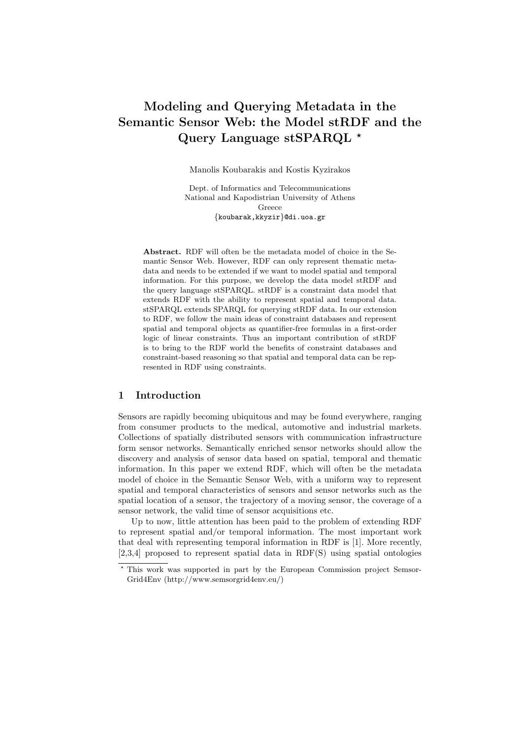# Modeling and Querying Metadata in the Semantic Sensor Web: the Model stRDF and the Query Language stSPARQL \*

Manolis Koubarakis and Kostis Kyzirakos

Dept. of Informatics and Telecommunications National and Kapodistrian University of Athens Greece {koubarak,kkyzir}@di.uoa.gr

Abstract. RDF will often be the metadata model of choice in the Semantic Sensor Web. However, RDF can only represent thematic metadata and needs to be extended if we want to model spatial and temporal information. For this purpose, we develop the data model stRDF and the query language stSPARQL. stRDF is a constraint data model that extends RDF with the ability to represent spatial and temporal data. stSPARQL extends SPARQL for querying stRDF data. In our extension to RDF, we follow the main ideas of constraint databases and represent spatial and temporal objects as quantifier-free formulas in a first-order logic of linear constraints. Thus an important contribution of stRDF is to bring to the RDF world the benefits of constraint databases and constraint-based reasoning so that spatial and temporal data can be represented in RDF using constraints.

## 1 Introduction

Sensors are rapidly becoming ubiquitous and may be found everywhere, ranging from consumer products to the medical, automotive and industrial markets. Collections of spatially distributed sensors with communication infrastructure form sensor networks. Semantically enriched sensor networks should allow the discovery and analysis of sensor data based on spatial, temporal and thematic information. In this paper we extend RDF, which will often be the metadata model of choice in the Semantic Sensor Web, with a uniform way to represent spatial and temporal characteristics of sensors and sensor networks such as the spatial location of a sensor, the trajectory of a moving sensor, the coverage of a sensor network, the valid time of sensor acquisitions etc.

Up to now, little attention has been paid to the problem of extending RDF to represent spatial and/or temporal information. The most important work that deal with representing temporal information in RDF is [1]. More recently, [2,3,4] proposed to represent spatial data in RDF(S) using spatial ontologies

<sup>?</sup> This work was supported in part by the European Commission project Semsor-Grid4Env (http://www.semsorgrid4env.eu/)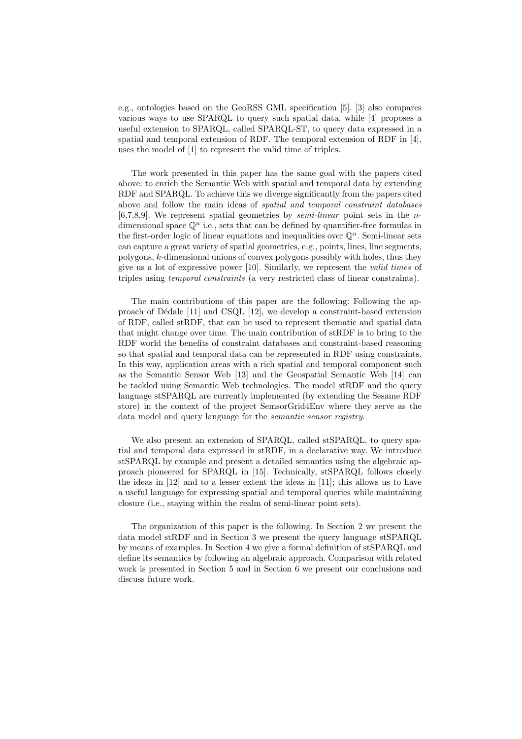e.g., ontologies based on the GeoRSS GML specification [5]. [3] also compares various ways to use SPARQL to query such spatial data, while [4] proposes a useful extension to SPARQL, called SPARQL-ST, to query data expressed in a spatial and temporal extension of RDF. The temporal extension of RDF in [4], uses the model of [1] to represent the valid time of triples.

The work presented in this paper has the same goal with the papers cited above: to enrich the Semantic Web with spatial and temporal data by extending RDF and SPARQL. To achieve this we diverge significantly from the papers cited above and follow the main ideas of spatial and temporal constraint databases [6,7,8,9]. We represent spatial geometries by *semi-linear* point sets in the *n*dimensional space  $\mathbb{Q}^n$  i.e., sets that can be defined by quantifier-free formulas in the first-order logic of linear equations and inequalities over  $\mathbb{Q}^n$ . Semi-linear sets can capture a great variety of spatial geometries, e.g., points, lines, line segments, polygons, k-dimensional unions of convex polygons possibly with holes, thus they give us a lot of expressive power [10]. Similarly, we represent the valid times of triples using temporal constraints (a very restricted class of linear constraints).

The main contributions of this paper are the following: Following the approach of Dédale  $[11]$  and CSQL  $[12]$ , we develop a constraint-based extension of RDF, called stRDF, that can be used to represent thematic and spatial data that might change over time. The main contribution of stRDF is to bring to the RDF world the benefits of constraint databases and constraint-based reasoning so that spatial and temporal data can be represented in RDF using constraints. In this way, application areas with a rich spatial and temporal component such as the Semantic Sensor Web [13] and the Geospatial Semantic Web [14] can be tackled using Semantic Web technologies. The model stRDF and the query language stSPARQL are currently implemented (by extending the Sesame RDF store) in the context of the project SemsorGrid4Env where they serve as the data model and query language for the semantic sensor registry.

We also present an extension of SPARQL, called stSPARQL, to query spatial and temporal data expressed in stRDF, in a declarative way. We introduce stSPARQL by example and present a detailed semantics using the algebraic approach pioneered for SPARQL in [15]. Technically, stSPARQL follows closely the ideas in [12] and to a lesser extent the ideas in [11]; this allows us to have a useful language for expressing spatial and temporal queries while maintaining closure (i.e., staying within the realm of semi-linear point sets).

The organization of this paper is the following. In Section 2 we present the data model stRDF and in Section 3 we present the query language stSPARQL by means of examples. In Section 4 we give a formal definition of stSPARQL and define its semantics by following an algebraic approach. Comparison with related work is presented in Section 5 and in Section 6 we present our conclusions and discuss future work.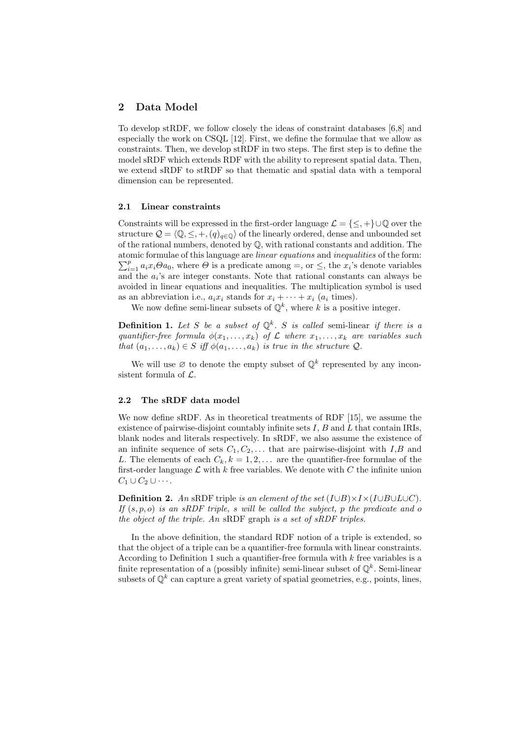# 2 Data Model

To develop stRDF, we follow closely the ideas of constraint databases [6,8] and especially the work on CSQL [12]. First, we define the formulae that we allow as constraints. Then, we develop stRDF in two steps. The first step is to define the model sRDF which extends RDF with the ability to represent spatial data. Then, we extend sRDF to stRDF so that thematic and spatial data with a temporal dimension can be represented.

#### 2.1 Linear constraints

Constraints will be expressed in the first-order language  $\mathcal{L} = \{\leq, +\} \cup \mathbb{Q}$  over the structure  $\mathcal{Q} = \langle \mathbb{Q}, \leq, +, (q)_{q \in \mathbb{Q}} \rangle$  of the linearly ordered, dense and unbounded set of the rational numbers, denoted by Q, with rational constants and addition. The atomic formulae of this language are *linear equations* and *inequalities* of the form:  $_{i=1}^p a_i x_i \Theta a_0$ , where  $\Theta$  is a predicate among =, or  $\leq$ , the  $x_i$ 's denote variables and the  $a_i$ 's are integer constants. Note that rational constants can always be avoided in linear equations and inequalities. The multiplication symbol is used as an abbreviation i.e.,  $a_i x_i$  stands for  $x_i + \cdots + x_i$  ( $a_i$  times).

We now define semi-linear subsets of  $\mathbb{Q}^k$ , where k is a positive integer.

**Definition 1.** Let S be a subset of  $\mathbb{Q}^k$ . S is called semi-linear if there is a quantifier-free formula  $\phi(x_1, \ldots, x_k)$  of  $\mathcal L$  where  $x_1, \ldots, x_k$  are variables such that  $(a_1, \ldots, a_k) \in S$  iff  $\phi(a_1, \ldots, a_k)$  is true in the structure  $Q$ .

We will use  $\emptyset$  to denote the empty subset of  $\mathbb{Q}^k$  represented by any inconsistent formula of  $\mathcal{L}$ .

#### 2.2 The sRDF data model

We now define sRDF. As in theoretical treatments of RDF [15], we assume the existence of pairwise-disjoint countably infinite sets  $I, B$  and  $L$  that contain IRIs, blank nodes and literals respectively. In sRDF, we also assume the existence of an infinite sequence of sets  $C_1, C_2, \ldots$  that are pairwise-disjoint with  $I, B$  and L. The elements of each  $C_k, k = 1, 2, \ldots$  are the quantifier-free formulae of the first-order language  $\mathcal L$  with k free variables. We denote with C the infinite union  $C_1 \cup C_2 \cup \cdots$ .

**Definition 2.** An sRDF triple is an element of the set  $(I \cup B) \times I \times (I \cup B \cup L \cup C)$ . If  $(s, p, o)$  is an sRDF triple, s will be called the subject, p the predicate and o the object of the triple. An sRDF graph is a set of sRDF triples.

In the above definition, the standard RDF notion of a triple is extended, so that the object of a triple can be a quantifier-free formula with linear constraints. According to Definition 1 such a quantifier-free formula with  $k$  free variables is a finite representation of a (possibly infinite) semi-linear subset of  $\mathbb{Q}^k$ . Semi-linear subsets of  $\mathbb{Q}^k$  can capture a great variety of spatial geometries, e.g., points, lines,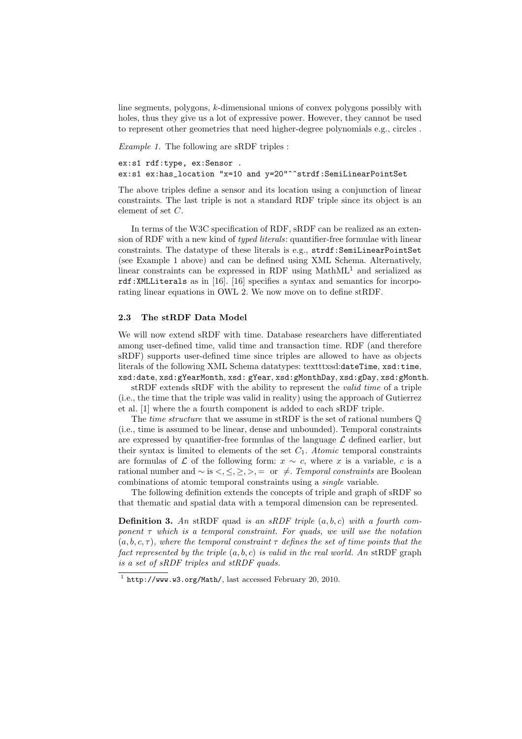line segments, polygons, k-dimensional unions of convex polygons possibly with holes, thus they give us a lot of expressive power. However, they cannot be used to represent other geometries that need higher-degree polynomials e.g., circles .

Example 1. The following are sRDF triples :

```
ex:s1 rdf:type, ex:Sensor .
ex:s1 ex:has_location "x=10 and y=20"^^strdf:SemiLinearPointSet
```
The above triples define a sensor and its location using a conjunction of linear constraints. The last triple is not a standard RDF triple since its object is an element of set C.

In terms of the W3C specification of RDF, sRDF can be realized as an extension of RDF with a new kind of typed literals: quantifier-free formulae with linear constraints. The datatype of these literals is e.g., strdf:SemiLinearPointSet (see Example 1 above) and can be defined using XML Schema. Alternatively, linear constraints can be expressed in RDF using  $MathML<sup>1</sup>$  and serialized as rdf:XMLLiterals as in [16]. [16] specifies a syntax and semantics for incorporating linear equations in OWL 2. We now move on to define stRDF.

#### 2.3 The stRDF Data Model

We will now extend sRDF with time. Database researchers have differentiated among user-defined time, valid time and transaction time. RDF (and therefore sRDF) supports user-defined time since triples are allowed to have as objects literals of the following XML Schema datatypes: textttxsd:dateTime, xsd:time, xsd:date, xsd:gYearMonth, xsd: gYear, xsd:gMonthDay, xsd:gDay, xsd:gMonth.

stRDF extends sRDF with the ability to represent the valid time of a triple (i.e., the time that the triple was valid in reality) using the approach of Gutierrez et al. [1] where the a fourth component is added to each sRDF triple.

The *time structure* that we assume in stRDF is the set of rational numbers  $\mathbb{O}$ (i.e., time is assumed to be linear, dense and unbounded). Temporal constraints are expressed by quantifier-free formulas of the language  $\mathcal L$  defined earlier, but their syntax is limited to elements of the set  $C_1$ . Atomic temporal constraints are formulas of  $\mathcal L$  of the following form:  $x \sim c$ , where x is a variable, c is a rational number and  $\sim$  is  $\lt$ ,  $\leq$ ,  $\gt$ ,  $=$  or  $\neq$ . Temporal constraints are Boolean combinations of atomic temporal constraints using a single variable.

The following definition extends the concepts of triple and graph of sRDF so that thematic and spatial data with a temporal dimension can be represented.

**Definition 3.** An stRDF quad is an sRDF triple  $(a, b, c)$  with a fourth component  $\tau$  which is a temporal constraint. For quads, we will use the notation  $(a, b, c, \tau)$ , where the temporal constraint  $\tau$  defines the set of time points that the fact represented by the triple  $(a, b, c)$  is valid in the real world. An stRDF graph is a set of sRDF triples and stRDF quads.

<sup>1</sup> http://www.w3.org/Math/, last accessed February 20, 2010.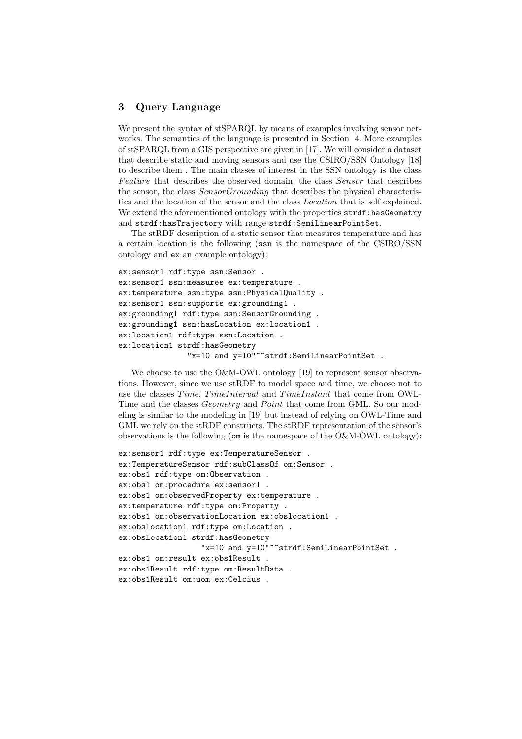# 3 Query Language

We present the syntax of stSPARQL by means of examples involving sensor networks. The semantics of the language is presented in Section 4. More examples of stSPARQL from a GIS perspective are given in [17]. We will consider a dataset that describe static and moving sensors and use the CSIRO/SSN Ontology [18] to describe them . The main classes of interest in the SSN ontology is the class Feature that describes the observed domain, the class Sensor that describes the sensor, the class SensorGrounding that describes the physical characteristics and the location of the sensor and the class Location that is self explained. We extend the aforementioned ontology with the properties strdf:hasGeometry and strdf:hasTrajectory with range strdf:SemiLinearPointSet.

The stRDF description of a static sensor that measures temperature and has a certain location is the following (ssn is the namespace of the CSIRO/SSN ontology and ex an example ontology):

```
ex:sensor1 rdf:type ssn:Sensor .
ex:sensor1 ssn:measures ex:temperature .
ex:temperature ssn:type ssn:PhysicalQuality .
ex:sensor1 ssn:supports ex:grounding1 .
ex:grounding1 rdf:type ssn:SensorGrounding .
ex:grounding1 ssn:hasLocation ex:location1 .
ex:location1 rdf:type ssn:Location .
ex:location1 strdf:hasGeometry
               "x=10 and y=10"^^strdf:SemiLinearPointSet .
```
We choose to use the O&M-OWL ontology [19] to represent sensor observations. However, since we use stRDF to model space and time, we choose not to use the classes Time, TimeInterval and TimeInstant that come from OWL-Time and the classes *Geometry* and *Point* that come from GML. So our modeling is similar to the modeling in [19] but instead of relying on OWL-Time and GML we rely on the stRDF constructs. The stRDF representation of the sensor's observations is the following (om is the namespace of the O&M-OWL ontology):

```
ex:sensor1 rdf:type ex:TemperatureSensor .
ex:TemperatureSensor rdf:subClassOf om:Sensor .
ex:obs1 rdf:type om:Observation .
ex:obs1 om:procedure ex:sensor1 .
ex:obs1 om:observedProperty ex:temperature .
ex:temperature rdf:type om:Property .
ex:obs1 om:observationLocation ex:obslocation1 .
ex:obslocation1 rdf:type om:Location .
ex:obslocation1 strdf:hasGeometry
                  "x=10 and y=10"^^strdf:SemiLinearPointSet .
ex:obs1 om:result ex:obs1Result .
ex:obs1Result rdf:type om:ResultData .
ex:obs1Result om:uom ex:Celcius .
```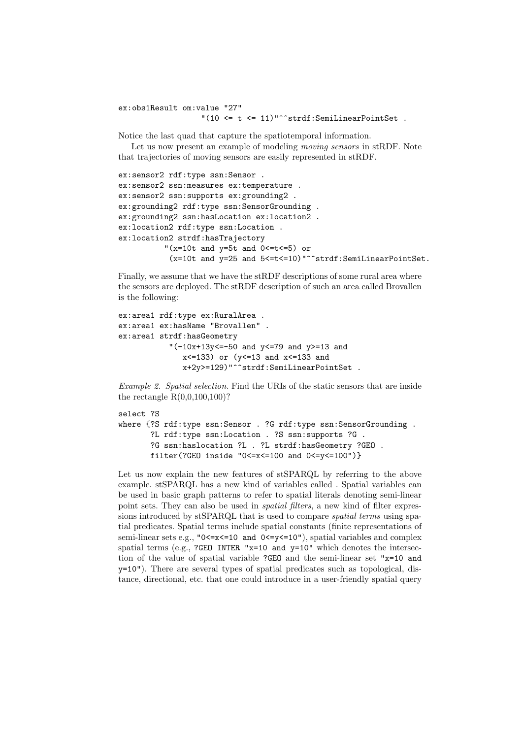ex:obs1Result om:value "27" "(10 <=  $t$  <= 11)"^^strdf:SemiLinearPointSet .

Notice the last quad that capture the spatiotemporal information.

Let us now present an example of modeling *moving sensors* in stRDF. Note that trajectories of moving sensors are easily represented in stRDF.

ex:sensor2 rdf:type ssn:Sensor . ex:sensor2 ssn:measures ex:temperature . ex:sensor2 ssn:supports ex:grounding2 . ex:grounding2 rdf:type ssn:SensorGrounding . ex:grounding2 ssn:hasLocation ex:location2 . ex:location2 rdf:type ssn:Location . ex:location2 strdf:hasTrajectory " $(x=10t$  and  $y=5t$  and  $0<=t<=5)$  or (x=10t and y=25 and 5<=t<=10)"^^strdf:SemiLinearPointSet.

Finally, we assume that we have the stRDF descriptions of some rural area where the sensors are deployed. The stRDF description of such an area called Brovallen is the following:

```
ex:area1 rdf:type ex:RuralArea .
ex:area1 ex:hasName "Brovallen" .
ex:area1 strdf:hasGeometry
           "(-10x+13y<=-50 and y<=79 and y>=13 and
              x \le 133) or (y \le 13 and x \le 133 and
              x+2y>=129)"^^strdf:SemiLinearPointSet .
```
Example 2. Spatial selection. Find the URIs of the static sensors that are inside the rectangle  $R(0,0,100,100)$ ?

```
select ?S
where {?S rdf:type ssn:Sensor . ?G rdf:type ssn:SensorGrounding .
      ?L rdf:type ssn:Location . ?S ssn:supports ?G .
      ?G ssn:haslocation ?L . ?L strdf:hasGeometry ?GEO .
      filter(?GEO inside "0<=x<=100 and 0<=y<=100")}
```
Let us now explain the new features of stSPARQL by referring to the above example. stSPARQL has a new kind of variables called . Spatial variables can be used in basic graph patterns to refer to spatial literals denoting semi-linear point sets. They can also be used in *spatial filters*, a new kind of filter expressions introduced by stSPARQL that is used to compare spatial terms using spatial predicates. Spatial terms include spatial constants (finite representations of semi-linear sets e.g., "0<=x<=10 and 0<=y<=10"), spatial variables and complex spatial terms (e.g., ?GEO INTER "x=10 and y=10" which denotes the intersection of the value of spatial variable ?GEO and the semi-linear set "x=10 and y=10"). There are several types of spatial predicates such as topological, distance, directional, etc. that one could introduce in a user-friendly spatial query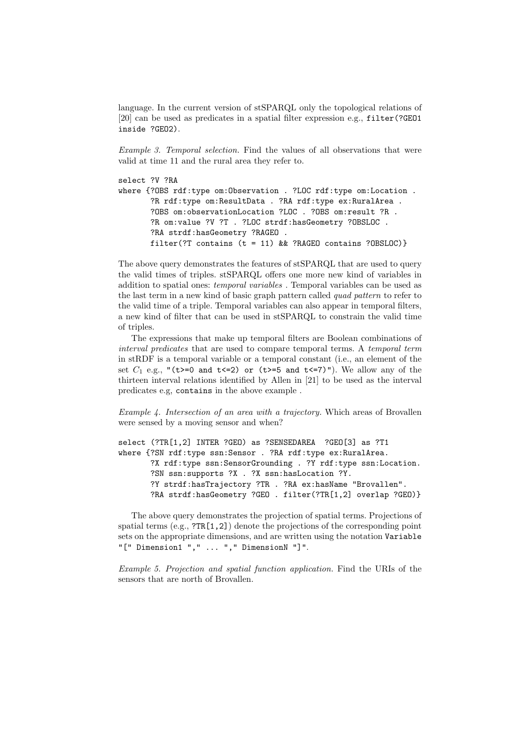language. In the current version of stSPARQL only the topological relations of [20] can be used as predicates in a spatial filter expression e.g., filter(?GEO1 inside ?GEO2).

Example 3. Temporal selection. Find the values of all observations that were valid at time 11 and the rural area they refer to.

```
select ?V ?RA
where {?OBS rdf:type om:Observation . ?LOC rdf:type om:Location .
      ?R rdf:type om:ResultData . ?RA rdf:type ex:RuralArea .
      ?OBS om:observationLocation ?LOC . ?OBS om:result ?R .
      ?R om:value ?V ?T . ?LOC strdf:hasGeometry ?OBSLOC .
      ?RA strdf:hasGeometry ?RAGEO .
      filter(?T contains (t = 11) && ?RAGEO contains ?OBSLOC)}
```
The above query demonstrates the features of stSPARQL that are used to query the valid times of triples. stSPARQL offers one more new kind of variables in addition to spatial ones: temporal variables . Temporal variables can be used as the last term in a new kind of basic graph pattern called quad pattern to refer to the valid time of a triple. Temporal variables can also appear in temporal filters, a new kind of filter that can be used in stSPARQL to constrain the valid time of triples.

The expressions that make up temporal filters are Boolean combinations of interval predicates that are used to compare temporal terms. A temporal term in stRDF is a temporal variable or a temporal constant (i.e., an element of the set  $C_1$  e.g., "(t>=0 and t<=2) or (t>=5 and t<=7)"). We allow any of the thirteen interval relations identified by Allen in [21] to be used as the interval predicates e.g, contains in the above example .

Example 4. Intersection of an area with a trajectory. Which areas of Brovallen were sensed by a moving sensor and when?

select (?TR[1,2] INTER ?GEO) as ?SENSEDAREA ?GEO[3] as ?T1 where {?SN rdf:type ssn:Sensor . ?RA rdf:type ex:RuralArea. ?X rdf:type ssn:SensorGrounding . ?Y rdf:type ssn:Location. ?SN ssn:supports ?X . ?X ssn:hasLocation ?Y. ?Y strdf:hasTrajectory ?TR . ?RA ex:hasName "Brovallen". ?RA strdf:hasGeometry ?GEO . filter(?TR[1,2] overlap ?GEO)}

The above query demonstrates the projection of spatial terms. Projections of spatial terms (e.g., ?TR[1,2]) denote the projections of the corresponding point sets on the appropriate dimensions, and are written using the notation Variable "[" Dimension1 "," ... "," DimensionN "]".

Example 5. Projection and spatial function application. Find the URIs of the sensors that are north of Brovallen.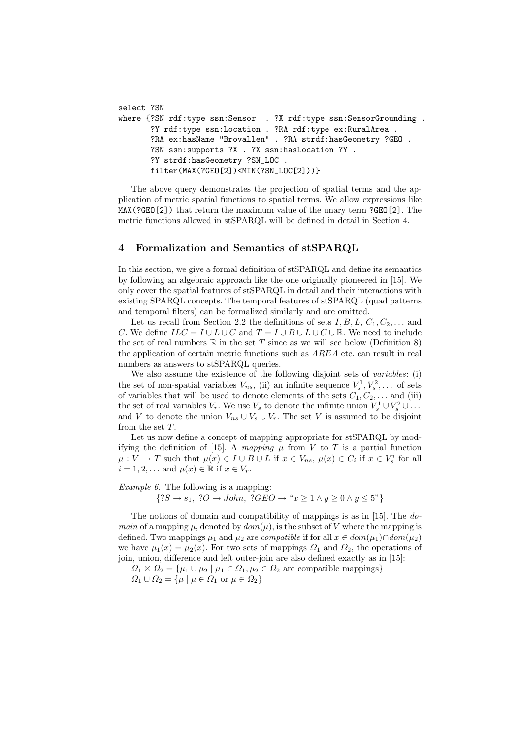```
select ?SN
where {?SN rdf:type ssn:Sensor . ?X rdf:type ssn:SensorGrounding .
       ?Y rdf:type ssn:Location . ?RA rdf:type ex:RuralArea .
       ?RA ex:hasName "Brovallen" . ?RA strdf:hasGeometry ?GEO .
       ?SN ssn:supports ?X . ?X ssn:hasLocation ?Y .
       ?Y strdf:hasGeometry ?SN_LOC .
      filter(MAX(?GEO[2])<MIN(?SN_LOC[2]))}
```
The above query demonstrates the projection of spatial terms and the application of metric spatial functions to spatial terms. We allow expressions like MAX(?GEO[2]) that return the maximum value of the unary term ?GEO[2]. The metric functions allowed in stSPARQL will be defined in detail in Section 4.

## 4 Formalization and Semantics of stSPARQL

In this section, we give a formal definition of stSPARQL and define its semantics by following an algebraic approach like the one originally pioneered in [15]. We only cover the spatial features of stSPARQL in detail and their interactions with existing SPARQL concepts. The temporal features of stSPARQL (quad patterns and temporal filters) can be formalized similarly and are omitted.

Let us recall from Section 2.2 the definitions of sets  $I, B, L, C_1, C_2, \ldots$  and C. We define  $ILC = I \cup L \cup C$  and  $T = I \cup B \cup L \cup C \cup \mathbb{R}$ . We need to include the set of real numbers  $\mathbb R$  in the set  $T$  since as we will see below (Definition 8) the application of certain metric functions such as AREA etc. can result in real numbers as answers to stSPARQL queries.

We also assume the existence of the following disjoint sets of variables: (i) the set of non-spatial variables  $V_{ns}$ , (ii) an infinite sequence  $V_s^1, V_s^2, \ldots$  of sets of variables that will be used to denote elements of the sets  $C_1, C_2, \ldots$  and (iii) the set of real variables  $V_r$ . We use  $V_s$  to denote the infinite union  $V_s^1 \cup V_s^2 \cup \ldots$ and V to denote the union  $V_{ns} \cup V_s \cup V_r$ . The set V is assumed to be disjoint from the set  $T$ .

Let us now define a concept of mapping appropriate for stSPARQL by modifying the definition of [15]. A mapping  $\mu$  from V to T is a partial function  $\mu: V \to T$  such that  $\mu(x) \in I \cup B \cup L$  if  $x \in V_{ns}$ ,  $\mu(x) \in C_i$  if  $x \in V_s^i$  for all  $i = 1, 2, \ldots$  and  $\mu(x) \in \mathbb{R}$  if  $x \in V_r$ .

# Example 6. The following is a mapping:  $\{?S \rightarrow s_1, ?O \rightarrow John, ?GEO \rightarrow "x \geq 1 \land y \geq 0 \land y \leq 5"\}$

The notions of domain and compatibility of mappings is as in [15]. The do*main* of a mapping  $\mu$ , denoted by  $dom(\mu)$ , is the subset of V where the mapping is defined. Two mappings  $\mu_1$  and  $\mu_2$  are *compatible* if for all  $x \in dom(\mu_1) \cap dom(\mu_2)$ we have  $\mu_1(x) = \mu_2(x)$ . For two sets of mappings  $\Omega_1$  and  $\Omega_2$ , the operations of join, union, difference and left outer-join are also defined exactly as in [15]:

 $\Omega_1 \bowtie \Omega_2 = {\mu_1 \cup \mu_2 \mid \mu_1 \in \Omega_1, \mu_2 \in \Omega_2 \text{ are compatible mappings}}$  $\Omega_1 \cup \Omega_2 = {\mu \mid \mu \in \Omega_1 \text{ or } \mu \in \Omega_2}$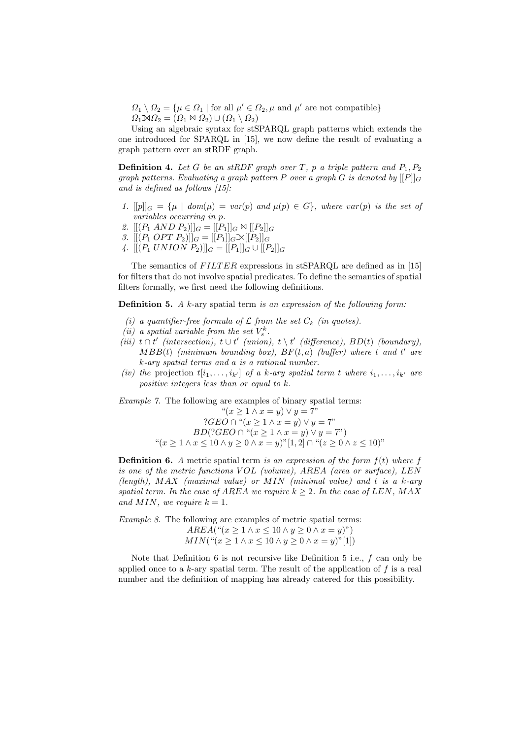$\Omega_1 \setminus \Omega_2 = {\mu \in \Omega_1 \mid \text{for all } \mu' \in \Omega_2, \mu \text{ and } \mu' \text{ are not compatible}}$  $\Omega_1 \boxtimes \Omega_2 = (\Omega_1 \boxtimes \Omega_2) \cup (\Omega_1 \setminus \Omega_2)$ 

Using an algebraic syntax for stSPARQL graph patterns which extends the one introduced for SPARQL in [15], we now define the result of evaluating a graph pattern over an stRDF graph.

**Definition 4.** Let G be an stRDF graph over T, p a triple pattern and  $P_1, P_2$ graph patterns. Evaluating a graph pattern P over a graph G is denoted by  $[[P]]_G$ and is defined as follows [15]:

- 1.  $[ [p]]_G = \{ \mu \mid \text{dom}(\mu) = \text{var}(p) \text{ and } \mu(p) \in G \},$  where  $\text{var}(p)$  is the set of variables occurring in p.
- 2.  $[[(P_1 \, AND \, P_2)]|_G = [[P_1]]_G \bowtie [[P_2]]_G$
- 3.  $\left[ \left[ (P_1 \text{ OPT } P_2) \right] \right]_G = \left[ \left[ P_1 \right] \right]_G \mathbb{N} \left[ \left[ P_2 \right] \right]_G$
- 4.  $[[(P_1 UNION P_2)]|_G = [[P_1]]_G \cup [[P_2]]_G$

The semantics of  $FILTER$  expressions in stSPARQL are defined as in [15] for filters that do not involve spatial predicates. To define the semantics of spatial filters formally, we first need the following definitions.

**Definition 5.** A k-ary spatial term is an expression of the following form:

- (i) a quantifier-free formula of  $\mathcal L$  from the set  $C_k$  (in quotes).
- (ii) a spatial variable from the set  $V_s^k$ .
- (iii)  $t \cap t'$  (intersection),  $t \cup t'$  (union),  $t \setminus t'$  (difference),  $BD(t)$  (boundary),  $MBB(t)$  (minimum bounding box),  $BF(t, a)$  (buffer) where t and t' are k-ary spatial terms and a is a rational number.
- (iv) the projection  $t[i_1, \ldots, i_{k'}]$  of a k-ary spatial term t where  $i_1, \ldots, i_{k'}$  are positive integers less than or equal to k.

Example 7. The following are examples of binary spatial terms:

" $(x > 1 \land x = y) ∨ y = 7"$ ?GEO ∩ " $(x \geq 1 \wedge x = y) \vee y = 7$ "  $BD(?GEO \cap "(x \geq 1 \land x = y) \lor y = 7")$ " $(x \geq 1 \land x \leq 10 \land y \geq 0 \land x = y$ "[1, 2]  $\cap$  " $(z \geq 0 \land z \leq 10)$ "

**Definition 6.** A metric spatial term is an expression of the form  $f(t)$  where f is one of the metric functions  $VOL$  (volume),  $AREA$  (area or surface),  $LEN$ (length), MAX (maximal value) or MIN (minimal value) and t is a k-ary spatial term. In the case of AREA we require  $k \geq 2$ . In the case of LEN, MAX and MIN, we require  $k = 1$ .

Example 8. The following are examples of metric spatial terms:

 $AREA(" (x \geq 1 \land x \leq 10 \land y \geq 0 \land x = y)")$  $MIN(" (x \geq 1 \land x \leq 10 \land y \geq 0 \land x = y)"]$ 

Note that Definition 6 is not recursive like Definition 5 i.e.,  $f$  can only be applied once to a  $k$ -ary spatial term. The result of the application of f is a real number and the definition of mapping has already catered for this possibility.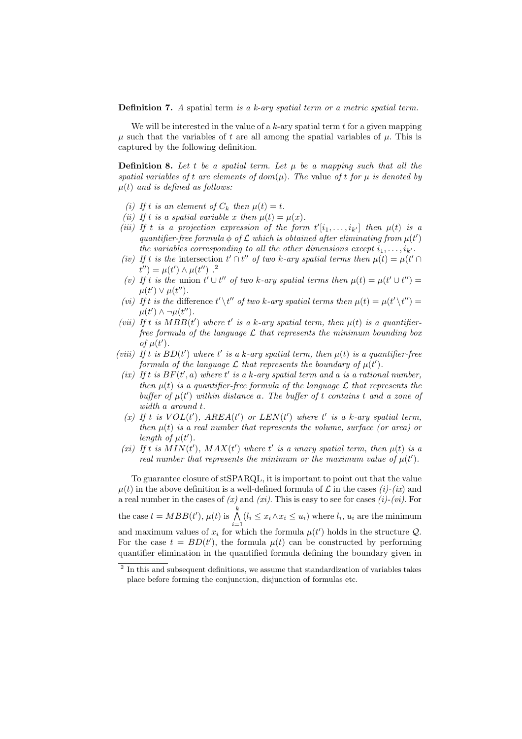**Definition 7.** A spatial term is a k-ary spatial term or a metric spatial term.

We will be interested in the value of a  $k$ -ary spatial term  $t$  for a given mapping  $\mu$  such that the variables of t are all among the spatial variables of  $\mu$ . This is captured by the following definition.

**Definition 8.** Let t be a spatial term. Let  $\mu$  be a mapping such that all the spatial variables of t are elements of dom( $\mu$ ). The value of t for  $\mu$  is denoted by  $\mu(t)$  and is defined as follows:

- (i) If t is an element of  $C_k$  then  $\mu(t) = t$ .
- (ii) If t is a spatial variable x then  $\mu(t) = \mu(x)$ .
- (iii) If t is a projection expression of the form  $t'[i_1,\ldots,i_{k'}]$  then  $\mu(t)$  is a quantifier-free formula  $\phi$  of  $\mathcal L$  which is obtained after eliminating from  $\mu(t')$ the variables corresponding to all the other dimensions except  $i_1, \ldots, i_{k'}$ .
- (iv) If t is the intersection  $t' \cap t''$  of two k-ary spatial terms then  $\mu(t) = \mu(t' \cap$  $t'$ ) =  $\mu(t') \wedge \mu(t'')$ .<sup>2</sup>
- (v) If t is the union  $t' \cup t''$  of two k-ary spatial terms then  $\mu(t) = \mu(t' \cup t'')$  $\mu(t') \vee \mu(t'').$
- (vi) If t is the difference  $t'\setminus t''$  of two k-ary spatial terms then  $\mu(t) = \mu(t'\setminus t'') =$  $\mu(t') \wedge \neg \mu(t'').$
- (vii) If t is  $MBB(t')$  where t' is a k-ary spatial term, then  $\mu(t)$  is a quantifierfree formula of the language  $\mathcal L$  that represents the minimum bounding box of  $\mu(t')$ .
- (viii) If t is  $BD(t')$  where t' is a k-ary spatial term, then  $\mu(t)$  is a quantifier-free formula of the language  $\mathcal L$  that represents the boundary of  $\mu(t')$ .
- (ix) If t is  $BF(t', a)$  where t' is a k-ary spatial term and a is a rational number, then  $\mu(t)$  is a quantifier-free formula of the language L that represents the buffer of  $\mu(t')$  within distance a. The buffer of t contains t and a zone of width a around t.
- (x) If t is  $VOL(t')$ ,  $AREA(t')$  or  $LEN(t')$  where t' is a k-ary spatial term, then  $\mu(t)$  is a real number that represents the volume, surface (or area) or length of  $\mu(t')$ .
- (xi) If t is MIN(t'), MAX(t') where t' is a unary spatial term, then  $\mu(t)$  is a real number that represents the minimum or the maximum value of  $\mu(t')$ .

To guarantee closure of stSPARQL, it is important to point out that the value  $\mu(t)$  in the above definition is a well-defined formula of  $\mathcal L$  in the cases (i)-(ix) and a real number in the cases of  $(x)$  and  $(xi)$ . This is easy to see for cases  $(i)-(vi)$ . For the case  $t = MBB(t'), \mu(t)$  is  $\bigwedge^k$  $\bigwedge_{i=1} (l_i \leq x_i \land x_i \leq u_i)$  where  $l_i, u_i$  are the minimum and maximum values of  $x_i$  for which the formula  $\mu(t')$  holds in the structure  $\mathcal{Q}$ . For the case  $t = BD(t')$ , the formula  $\mu(t)$  can be constructed by performing quantifier elimination in the quantified formula defining the boundary given in

<sup>&</sup>lt;sup>2</sup> In this and subsequent definitions, we assume that standardization of variables takes place before forming the conjunction, disjunction of formulas etc.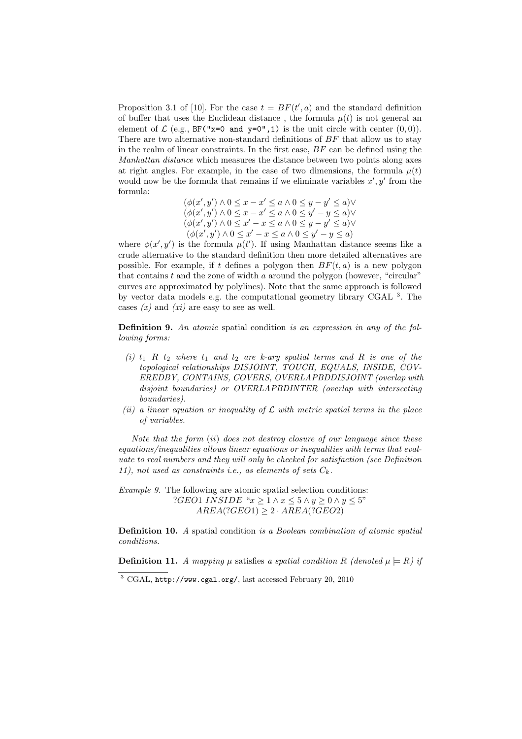Proposition 3.1 of [10]. For the case  $t = BF(t', a)$  and the standard definition of buffer that uses the Euclidean distance, the formula  $\mu(t)$  is not general an element of  $\mathcal{L}$  (e.g., BF("x=0 and y=0", 1) is the unit circle with center  $(0, 0)$ ). There are two alternative non-standard definitions of  $BF$  that allow us to stay in the realm of linear constraints. In the first case,  $BF$  can be defined using the Manhattan distance which measures the distance between two points along axes at right angles. For example, in the case of two dimensions, the formula  $\mu(t)$ would now be the formula that remains if we eliminate variables  $x', y'$  from the formula:

$$
(\phi(x', y') \land 0 \le x - x' \le a \land 0 \le y - y' \le a) \lor
$$
  
\n
$$
(\phi(x', y') \land 0 \le x - x' \le a \land 0 \le y' - y \le a) \lor
$$
  
\n
$$
(\phi(x', y') \land 0 \le x' - x \le a \land 0 \le y - y' \le a) \lor
$$
  
\n
$$
(\phi(x', y') \land 0 \le x' - x \le a \land 0 \le y' - y \le a)
$$

where  $\phi(x', y')$  is the formula  $\mu(t')$ . If using Manhattan distance seems like a crude alternative to the standard definition then more detailed alternatives are possible. For example, if t defines a polygon then  $BF(t, a)$  is a new polygon that contains t and the zone of width a around the polygon (however, "circular" curves are approximated by polylines). Note that the same approach is followed by vector data models e.g. the computational geometry library CGAL <sup>3</sup> . The cases  $(x)$  and  $(xi)$  are easy to see as well.

Definition 9. An atomic spatial condition is an expression in any of the following forms:

- (i)  $t_1$  R  $t_2$  where  $t_1$  and  $t_2$  are k-ary spatial terms and R is one of the topological relationships DISJOINT, TOUCH, EQUALS, INSIDE, COV-EREDBY, CONTAINS, COVERS, OVERLAPBDDISJOINT (overlap with disjoint boundaries) or OVERLAPBDINTER (overlap with intersecting boundaries).
- (ii) a linear equation or inequality of  $\mathcal L$  with metric spatial terms in the place of variables.

Note that the form  $(ii)$  does not destroy closure of our language since these equations/inequalities allows linear equations or inequalities with terms that evaluate to real numbers and they will only be checked for satisfaction (see Definition 11), not used as constraints i.e., as elements of sets  $C_k$ .

Example 9. The following are atomic spatial selection conditions: ?GEO1 INSIDE " $x \geq 1 \wedge x \leq 5 \wedge y \geq 0 \wedge y \leq 5$ "  $AREA(?GEO1) \geq 2 \cdot AREA(?GEO2)$ 

**Definition 10.** A spatial condition is a Boolean combination of atomic spatial conditions.

**Definition 11.** A mapping  $\mu$  satisfies a spatial condition R (denoted  $\mu \models R$ ) if

<sup>3</sup> CGAL, http://www.cgal.org/, last accessed February 20, 2010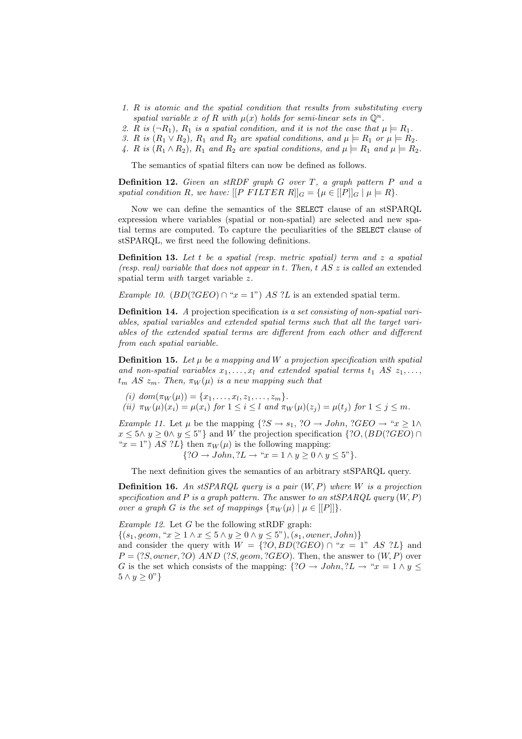- 1. R is atomic and the spatial condition that results from substituting every spatial variable x of R with  $\mu(x)$  holds for semi-linear sets in  $\mathbb{O}^n$ .
- 2. R is  $(\neg R_1)$ ,  $R_1$  is a spatial condition, and it is not the case that  $\mu \models R_1$ .
- 3. R is  $(R_1 \vee R_2)$ ,  $R_1$  and  $R_2$  are spatial conditions, and  $\mu \models R_1$  or  $\mu \models R_2$ .
- 4. R is  $(R_1 \wedge R_2)$ ,  $R_1$  and  $R_2$  are spatial conditions, and  $\mu \models R_1$  and  $\mu \models R_2$ .

The semantics of spatial filters can now be defined as follows.

**Definition 12.** Given an stRDF graph  $G$  over  $T$ , a graph pattern  $P$  and a spatial condition R, we have:  $[$ [P FILTER R] $]_G = \{ \mu \in [P] | G | \mu \models R \}.$ 

Now we can define the semantics of the SELECT clause of an stSPARQL expression where variables (spatial or non-spatial) are selected and new spatial terms are computed. To capture the peculiarities of the SELECT clause of stSPARQL, we first need the following definitions.

**Definition 13.** Let t be a spatial (resp. metric spatial) term and  $z$  a spatial (resp. real) variable that does not appear in t. Then,  $t AS z$  is called an extended spatial term *with* target variable  $z$ .

Example 10. (BD(?GEO)  $\cap$  " $x = 1$ ") AS ?L is an extended spatial term.

Definition 14. A projection specification is a set consisting of non-spatial variables, spatial variables and extended spatial terms such that all the target variables of the extended spatial terms are different from each other and different from each spatial variable.

**Definition 15.** Let  $\mu$  be a mapping and W a projection specification with spatial and non-spatial variables  $x_1, \ldots, x_l$  and extended spatial terms  $t_1$  AS  $z_1, \ldots, z_l$  $t_m$  AS  $z_m$ . Then,  $\pi_W(\mu)$  is a new mapping such that

(i)  $dom(\pi_W(\mu)) = \{x_1, \ldots, x_l, z_1, \ldots, z_m\}.$ (ii)  $\pi_W(\mu)(x_i) = \mu(x_i)$  for  $1 \leq i \leq l$  and  $\pi_W(\mu)(z_i) = \mu(t_i)$  for  $1 \leq i \leq m$ .

Example 11. Let  $\mu$  be the mapping  $\{?S \rightarrow s_1, ?O \rightarrow John, ?GEO \rightarrow "x \geq 1 \land ... \}$  $x \leq 5 \land y \geq 0 \land y \leq 5$ <sup>n</sup>} and W the projection specification  $\{?O, (BD(?GEO) \cap$ " $x = 1$ ") AS ?L} then  $\pi_W(\mu)$  is the following mapping:  $\{?O \rightarrow John, ?L \rightarrow "x = 1 \land y \ge 0 \land y \le 5"\}.$ 

The next definition gives the semantics of an arbitrary stSPARQL query.

**Definition 16.** An stSPARQL query is a pair  $(W, P)$  where W is a projection specification and P is a graph pattern. The answer to an stSPARQL query  $(W, P)$ over a graph G is the set of mappings  $\{\pi_W(\mu) \mid \mu \in [[P]]\}.$ 

*Example 12.* Let  $G$  be the following stRDF graph:

 $\{(s_1, qeom, "x > 1 \land x < 5 \land y > 0 \land y < 5"), (s_1, owner, John)\}\$ and consider the query with  $W = \{?O, BD(?GEO) \cap "x = 1" AS ?L \}$  and  $P = (?S, owner, ?O) AND (?S, geom, ?GEO).$  Then, the answer to  $(W, P)$  over G is the set which consists of the mapping:  $\{?O \rightarrow John, ?L \rightarrow "x = 1 \land y \leq \}$  $5 \wedge y \geq 0$ "}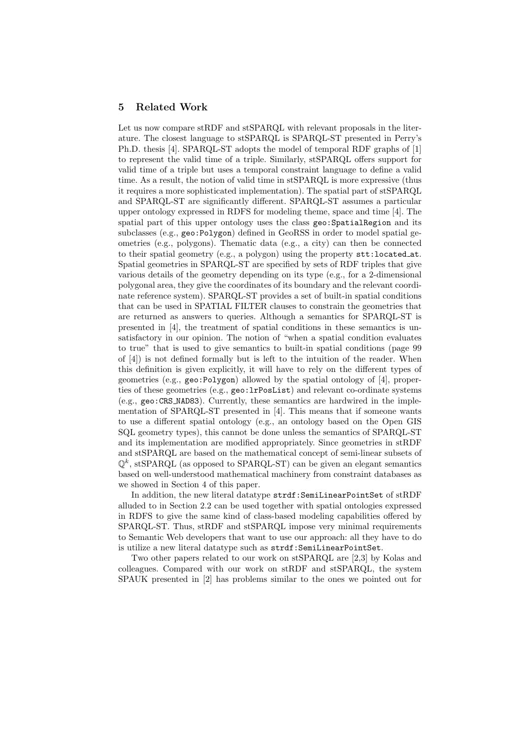# 5 Related Work

Let us now compare stRDF and stSPARQL with relevant proposals in the literature. The closest language to stSPARQL is SPARQL-ST presented in Perry's Ph.D. thesis [4]. SPARQL-ST adopts the model of temporal RDF graphs of [1] to represent the valid time of a triple. Similarly, stSPARQL offers support for valid time of a triple but uses a temporal constraint language to define a valid time. As a result, the notion of valid time in stSPARQL is more expressive (thus it requires a more sophisticated implementation). The spatial part of stSPARQL and SPARQL-ST are significantly different. SPARQL-ST assumes a particular upper ontology expressed in RDFS for modeling theme, space and time [4]. The spatial part of this upper ontology uses the class geo:SpatialRegion and its subclasses (e.g., geo:Polygon) defined in GeoRSS in order to model spatial geometries (e.g., polygons). Thematic data (e.g., a city) can then be connected to their spatial geometry (e.g., a polygon) using the property stt:located at. Spatial geometries in SPARQL-ST are specified by sets of RDF triples that give various details of the geometry depending on its type (e.g., for a 2-dimensional polygonal area, they give the coordinates of its boundary and the relevant coordinate reference system). SPARQL-ST provides a set of built-in spatial conditions that can be used in SPATIAL FILTER clauses to constrain the geometries that are returned as answers to queries. Although a semantics for SPARQL-ST is presented in [4], the treatment of spatial conditions in these semantics is unsatisfactory in our opinion. The notion of "when a spatial condition evaluates to true" that is used to give semantics to built-in spatial conditions (page 99 of [4]) is not defined formally but is left to the intuition of the reader. When this definition is given explicitly, it will have to rely on the different types of geometries (e.g., geo:Polygon) allowed by the spatial ontology of [4], properties of these geometries (e.g., geo:lrPosList) and relevant co-ordinate systems (e.g., geo:CRS NAD83). Currently, these semantics are hardwired in the implementation of SPARQL-ST presented in [4]. This means that if someone wants to use a different spatial ontology (e.g., an ontology based on the Open GIS SQL geometry types), this cannot be done unless the semantics of SPARQL-ST and its implementation are modified appropriately. Since geometries in stRDF and stSPARQL are based on the mathematical concept of semi-linear subsets of  $\mathbb{Q}^k$ , stSPARQL (as opposed to SPARQL-ST) can be given an elegant semantics based on well-understood mathematical machinery from constraint databases as we showed in Section 4 of this paper.

In addition, the new literal datatype strdf:SemiLinearPointSet of stRDF alluded to in Section 2.2 can be used together with spatial ontologies expressed in RDFS to give the same kind of class-based modeling capabilities offered by SPARQL-ST. Thus, stRDF and stSPARQL impose very minimal requirements to Semantic Web developers that want to use our approach: all they have to do is utilize a new literal datatype such as strdf:SemiLinearPointSet.

Two other papers related to our work on stSPARQL are [2,3] by Kolas and colleagues. Compared with our work on stRDF and stSPARQL, the system SPAUK presented in [2] has problems similar to the ones we pointed out for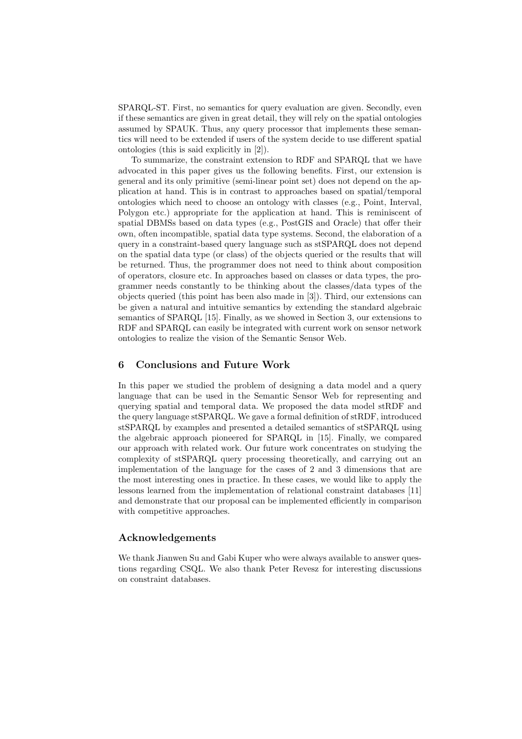SPARQL-ST. First, no semantics for query evaluation are given. Secondly, even if these semantics are given in great detail, they will rely on the spatial ontologies assumed by SPAUK. Thus, any query processor that implements these semantics will need to be extended if users of the system decide to use different spatial ontologies (this is said explicitly in [2]).

To summarize, the constraint extension to RDF and SPARQL that we have advocated in this paper gives us the following benefits. First, our extension is general and its only primitive (semi-linear point set) does not depend on the application at hand. This is in contrast to approaches based on spatial/temporal ontologies which need to choose an ontology with classes (e.g., Point, Interval, Polygon etc.) appropriate for the application at hand. This is reminiscent of spatial DBMSs based on data types (e.g., PostGIS and Oracle) that offer their own, often incompatible, spatial data type systems. Second, the elaboration of a query in a constraint-based query language such as stSPARQL does not depend on the spatial data type (or class) of the objects queried or the results that will be returned. Thus, the programmer does not need to think about composition of operators, closure etc. In approaches based on classes or data types, the programmer needs constantly to be thinking about the classes/data types of the objects queried (this point has been also made in [3]). Third, our extensions can be given a natural and intuitive semantics by extending the standard algebraic semantics of SPARQL [15]. Finally, as we showed in Section 3, our extensions to RDF and SPARQL can easily be integrated with current work on sensor network ontologies to realize the vision of the Semantic Sensor Web.

# 6 Conclusions and Future Work

In this paper we studied the problem of designing a data model and a query language that can be used in the Semantic Sensor Web for representing and querying spatial and temporal data. We proposed the data model stRDF and the query language stSPARQL. We gave a formal definition of stRDF, introduced stSPARQL by examples and presented a detailed semantics of stSPARQL using the algebraic approach pioneered for SPARQL in [15]. Finally, we compared our approach with related work. Our future work concentrates on studying the complexity of stSPARQL query processing theoretically, and carrying out an implementation of the language for the cases of 2 and 3 dimensions that are the most interesting ones in practice. In these cases, we would like to apply the lessons learned from the implementation of relational constraint databases [11] and demonstrate that our proposal can be implemented efficiently in comparison with competitive approaches.

## Acknowledgements

We thank Jianwen Su and Gabi Kuper who were always available to answer questions regarding CSQL. We also thank Peter Revesz for interesting discussions on constraint databases.